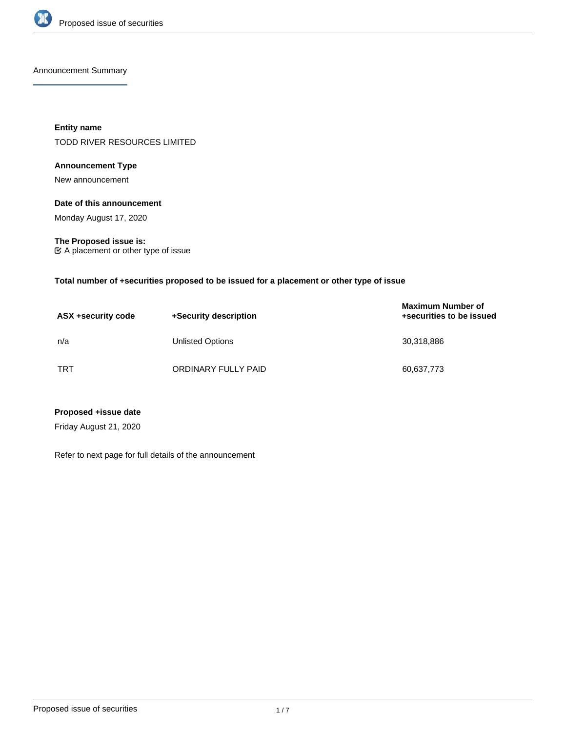

Announcement Summary

**Entity name** TODD RIVER RESOURCES LIMITED

# **Announcement Type**

New announcement

## **Date of this announcement**

Monday August 17, 2020

**The Proposed issue is:** A placement or other type of issue

**Total number of +securities proposed to be issued for a placement or other type of issue**

| ASX +security code | +Security description | <b>Maximum Number of</b><br>+securities to be issued |
|--------------------|-----------------------|------------------------------------------------------|
| n/a                | Unlisted Options      | 30,318,886                                           |
| <b>TRT</b>         | ORDINARY FULLY PAID   | 60,637,773                                           |

**Proposed +issue date**

Friday August 21, 2020

Refer to next page for full details of the announcement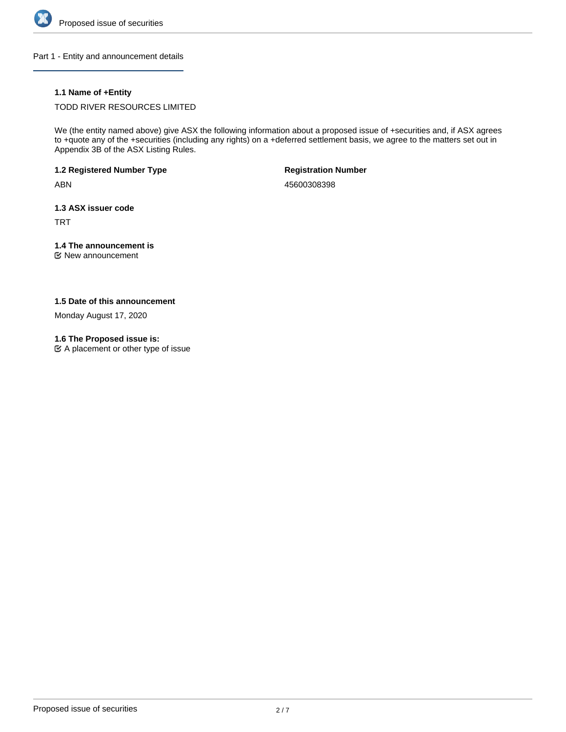

Part 1 - Entity and announcement details

# **1.1 Name of +Entity**

TODD RIVER RESOURCES LIMITED

We (the entity named above) give ASX the following information about a proposed issue of +securities and, if ASX agrees to +quote any of the +securities (including any rights) on a +deferred settlement basis, we agree to the matters set out in Appendix 3B of the ASX Listing Rules.

**1.2 Registered Number Type**

ABN

**Registration Number**

45600308398

**1.3 ASX issuer code**

TRT

# **1.4 The announcement is**

New announcement

# **1.5 Date of this announcement**

Monday August 17, 2020

### **1.6 The Proposed issue is:**

 $\mathfrak{C}$  A placement or other type of issue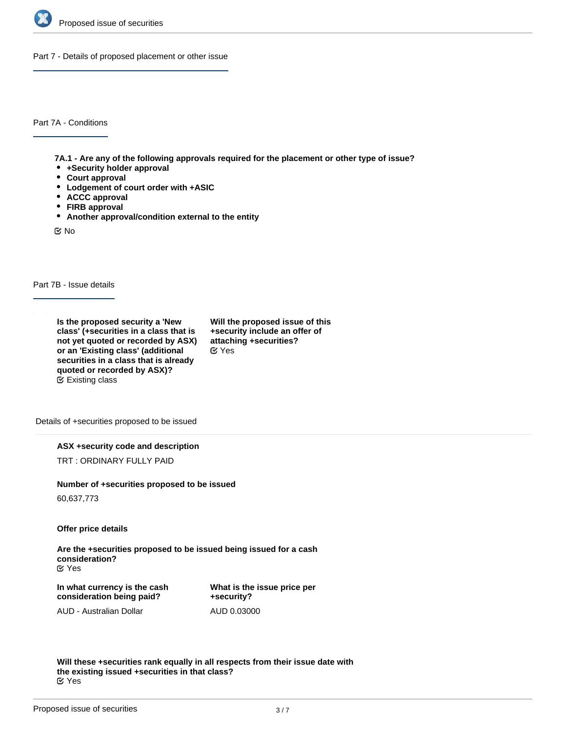

Part 7 - Details of proposed placement or other issue

Part 7A - Conditions

**7A.1 - Are any of the following approvals required for the placement or other type of issue?**

- **+Security holder approval**
- **Court approval**
- **Lodgement of court order with +ASIC**
- **ACCC approval**
- **FIRB approval**
- **Another approval/condition external to the entity**

No

Part 7B - Issue details

**Is the proposed security a 'New class' (+securities in a class that is not yet quoted or recorded by ASX) or an 'Existing class' (additional securities in a class that is already quoted or recorded by ASX)?** Existing class

**Will the proposed issue of this +security include an offer of attaching +securities?** Yes

Details of +securities proposed to be issued

**ASX +security code and description**

TRT : ORDINARY FULLY PAID

#### **Number of +securities proposed to be issued**

60,637,773

**Offer price details**

**Are the +securities proposed to be issued being issued for a cash consideration?** Yes

**In what currency is the cash consideration being paid?**

**What is the issue price per +security?** AUD 0.03000

AUD - Australian Dollar

**Will these +securities rank equally in all respects from their issue date with the existing issued +securities in that class?** Yes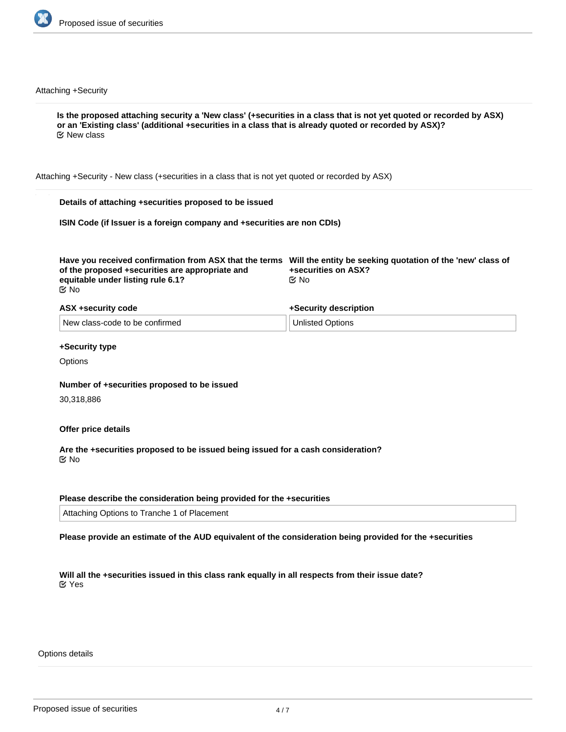

Attaching +Security

**Is the proposed attaching security a 'New class' (+securities in a class that is not yet quoted or recorded by ASX) or an 'Existing class' (additional +securities in a class that is already quoted or recorded by ASX)?** Attaching +Security - New class (+securities in a class that is not yet quoted or recorded by ASX) **Details of attaching +securities proposed to be issued ISIN Code (if Issuer is a foreign company and +securities are non CDIs) Have you received confirmation from ASX that the terms Will the entity be seeking quotation of the 'new' class of of the proposed +securities are appropriate and equitable under listing rule 6.1? +securities on ASX? ASX +security code** New class-code to be confirmed **+Security description** Unlisted Options **+Security type Options Number of +securities proposed to be issued** 30,318,886 **Offer price details Are the +securities proposed to be issued being issued for a cash consideration?** No No No **Ø** New class

# **Please describe the consideration being provided for the +securities**

Attaching Options to Tranche 1 of Placement

**Please provide an estimate of the AUD equivalent of the consideration being provided for the +securities**

**Will all the +securities issued in this class rank equally in all respects from their issue date?** Yes

Options details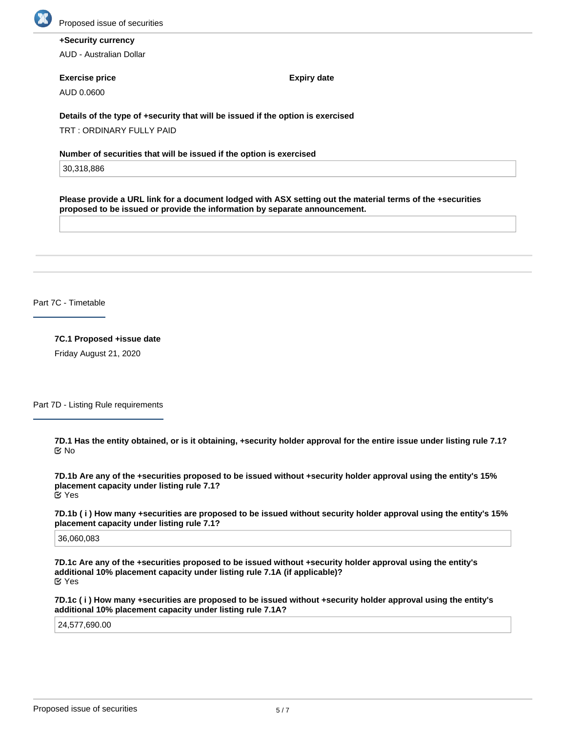

# **+Security currency**

AUD - Australian Dollar

#### **Exercise price**

AUD 0.0600

**Expiry date**

**Details of the type of +security that will be issued if the option is exercised**

TRT : ORDINARY FULLY PAID

**Number of securities that will be issued if the option is exercised**

30,318,886

**Please provide a URL link for a document lodged with ASX setting out the material terms of the +securities proposed to be issued or provide the information by separate announcement.**

Part 7C - Timetable

**7C.1 Proposed +issue date**

Friday August 21, 2020

Part 7D - Listing Rule requirements

**7D.1 Has the entity obtained, or is it obtaining, +security holder approval for the entire issue under listing rule 7.1?** No

**7D.1b Are any of the +securities proposed to be issued without +security holder approval using the entity's 15% placement capacity under listing rule 7.1?** Yes

**7D.1b ( i ) How many +securities are proposed to be issued without security holder approval using the entity's 15% placement capacity under listing rule 7.1?**

36,060,083

**7D.1c Are any of the +securities proposed to be issued without +security holder approval using the entity's additional 10% placement capacity under listing rule 7.1A (if applicable)?** Yes

**7D.1c ( i ) How many +securities are proposed to be issued without +security holder approval using the entity's additional 10% placement capacity under listing rule 7.1A?**

24,577,690.00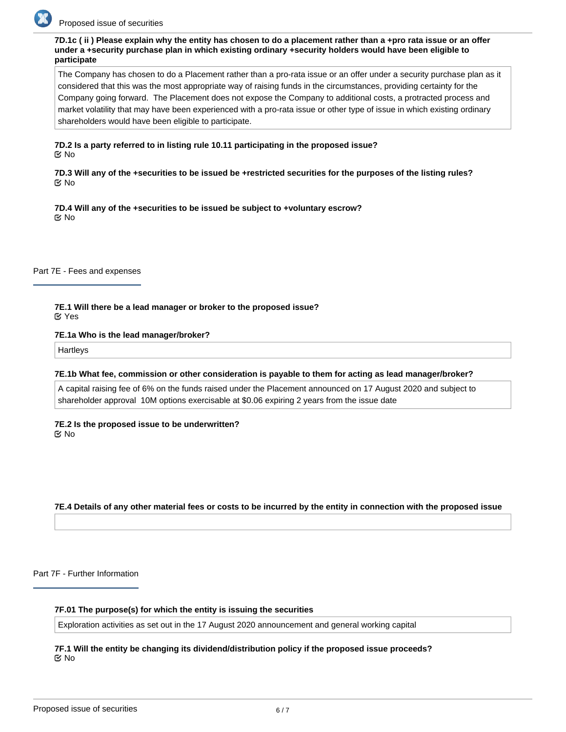

**7D.1c ( ii ) Please explain why the entity has chosen to do a placement rather than a +pro rata issue or an offer under a +security purchase plan in which existing ordinary +security holders would have been eligible to participate**

The Company has chosen to do a Placement rather than a pro-rata issue or an offer under a security purchase plan as it considered that this was the most appropriate way of raising funds in the circumstances, providing certainty for the Company going forward. The Placement does not expose the Company to additional costs, a protracted process and market volatility that may have been experienced with a pro-rata issue or other type of issue in which existing ordinary shareholders would have been eligible to participate.

**7D.2 Is a party referred to in listing rule 10.11 participating in the proposed issue? K** No

**7D.3 Will any of the +securities to be issued be +restricted securities for the purposes of the listing rules?** No

**7D.4 Will any of the +securities to be issued be subject to +voluntary escrow?** No

Part 7E - Fees and expenses

**7E.1 Will there be a lead manager or broker to the proposed issue?** Yes

**7E.1a Who is the lead manager/broker?**

**Hartleys** 

**7E.1b What fee, commission or other consideration is payable to them for acting as lead manager/broker?**

A capital raising fee of 6% on the funds raised under the Placement announced on 17 August 2020 and subject to shareholder approval 10M options exercisable at \$0.06 expiring 2 years from the issue date

**7E.2 Is the proposed issue to be underwritten?** No

**7E.4 Details of any other material fees or costs to be incurred by the entity in connection with the proposed issue**

Part 7F - Further Information

**7F.01 The purpose(s) for which the entity is issuing the securities**

Exploration activities as set out in the 17 August 2020 announcement and general working capital

**7F.1 Will the entity be changing its dividend/distribution policy if the proposed issue proceeds?** No